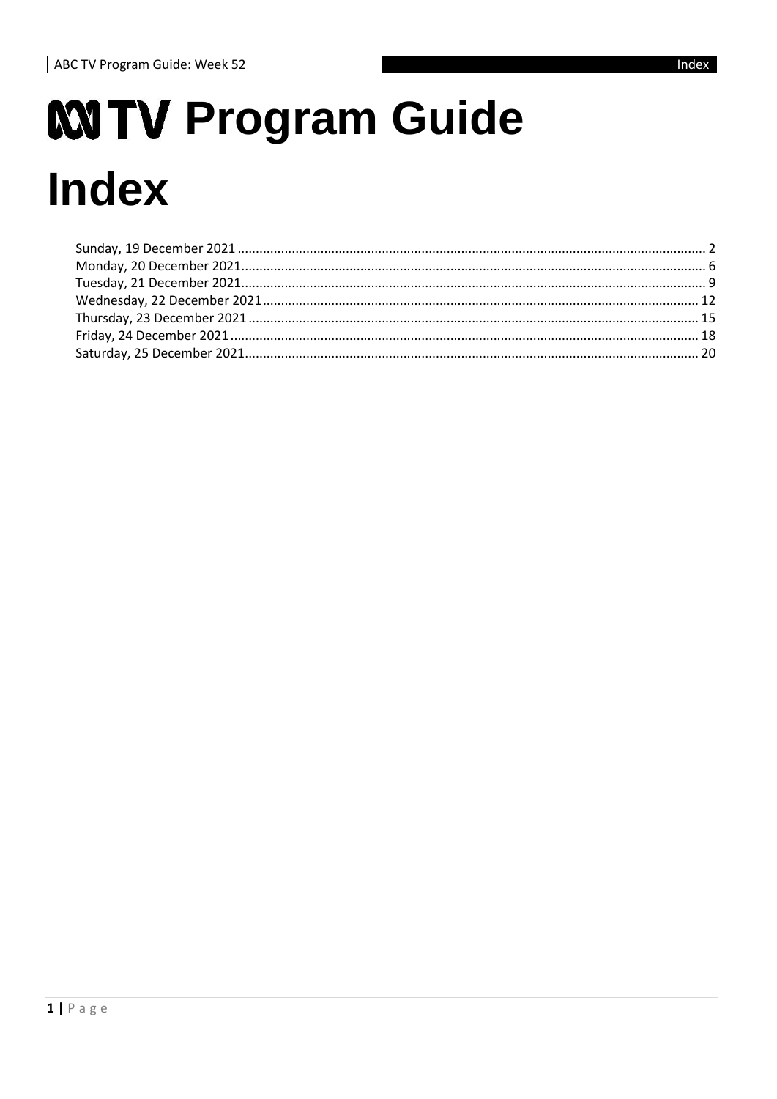# MITV Program Guide **Index**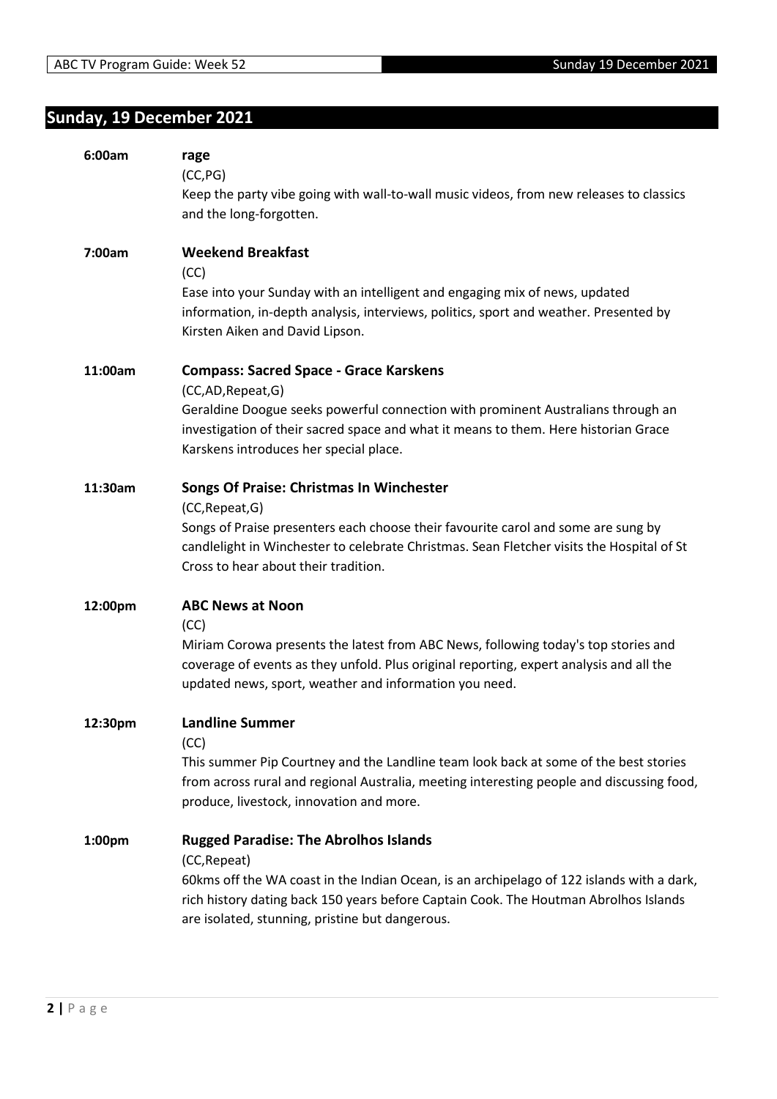## <span id="page-1-0"></span>**Sunday, 19 December 2021**

| 6:00am  | rage<br>(CC, PG)<br>Keep the party vibe going with wall-to-wall music videos, from new releases to classics<br>and the long-forgotten.                                                                                                                                                               |
|---------|------------------------------------------------------------------------------------------------------------------------------------------------------------------------------------------------------------------------------------------------------------------------------------------------------|
| 7:00am  | <b>Weekend Breakfast</b><br>(CC)<br>Ease into your Sunday with an intelligent and engaging mix of news, updated<br>information, in-depth analysis, interviews, politics, sport and weather. Presented by<br>Kirsten Aiken and David Lipson.                                                          |
| 11:00am | <b>Compass: Sacred Space - Grace Karskens</b><br>(CC,AD,Repeat,G)<br>Geraldine Doogue seeks powerful connection with prominent Australians through an<br>investigation of their sacred space and what it means to them. Here historian Grace<br>Karskens introduces her special place.               |
| 11:30am | Songs Of Praise: Christmas In Winchester<br>(CC, Repeat, G)<br>Songs of Praise presenters each choose their favourite carol and some are sung by<br>candlelight in Winchester to celebrate Christmas. Sean Fletcher visits the Hospital of St<br>Cross to hear about their tradition.                |
| 12:00pm | <b>ABC News at Noon</b><br>(CC)<br>Miriam Corowa presents the latest from ABC News, following today's top stories and<br>coverage of events as they unfold. Plus original reporting, expert analysis and all the<br>updated news, sport, weather and information you need.                           |
| 12:30pm | <b>Landline Summer</b><br>(CC)<br>This summer Pip Courtney and the Landline team look back at some of the best stories<br>from across rural and regional Australia, meeting interesting people and discussing food,<br>produce, livestock, innovation and more.                                      |
| 1:00pm  | <b>Rugged Paradise: The Abrolhos Islands</b><br>(CC, Repeat)<br>60kms off the WA coast in the Indian Ocean, is an archipelago of 122 islands with a dark,<br>rich history dating back 150 years before Captain Cook. The Houtman Abrolhos Islands<br>are isolated, stunning, pristine but dangerous. |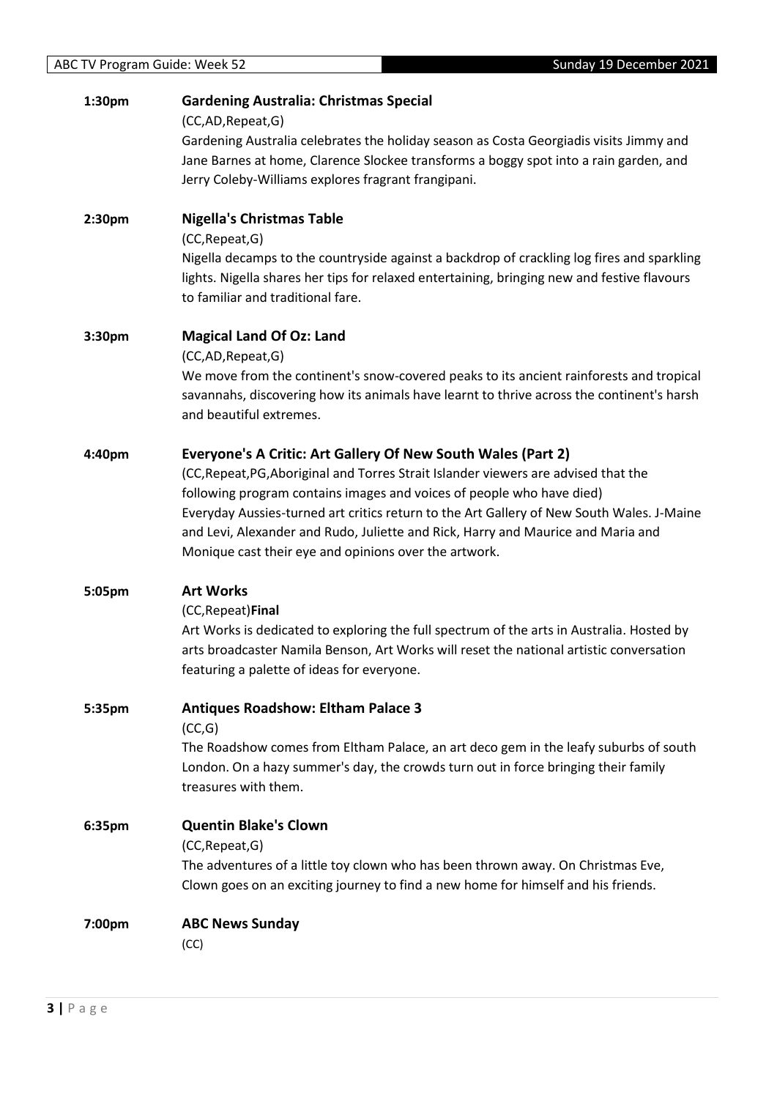| 1:30pm | <b>Gardening Australia: Christmas Special</b> |
|--------|-----------------------------------------------|
|--------|-----------------------------------------------|

(CC,AD,Repeat,G)

Gardening Australia celebrates the holiday season as Costa Georgiadis visits Jimmy and Jane Barnes at home, Clarence Slockee transforms a boggy spot into a rain garden, and Jerry Coleby-Williams explores fragrant frangipani.

**2:30pm Nigella's Christmas Table** (CC,Repeat,G) Nigella decamps to the countryside against a backdrop of crackling log fires and sparkling lights. Nigella shares her tips for relaxed entertaining, bringing new and festive flavours to familiar and traditional fare.

#### **3:30pm Magical Land Of Oz: Land**

(CC,AD,Repeat,G)

We move from the continent's snow-covered peaks to its ancient rainforests and tropical savannahs, discovering how its animals have learnt to thrive across the continent's harsh and beautiful extremes.

#### **4:40pm Everyone's A Critic: Art Gallery Of New South Wales (Part 2)**

(CC,Repeat,PG,Aboriginal and Torres Strait Islander viewers are advised that the following program contains images and voices of people who have died) Everyday Aussies-turned art critics return to the Art Gallery of New South Wales. J-Maine and Levi, Alexander and Rudo, Juliette and Rick, Harry and Maurice and Maria and Monique cast their eye and opinions over the artwork.

#### **5:05pm Art Works**

#### (CC,Repeat)**Final**

Art Works is dedicated to exploring the full spectrum of the arts in Australia. Hosted by arts broadcaster Namila Benson, Art Works will reset the national artistic conversation featuring a palette of ideas for everyone.

#### **5:35pm Antiques Roadshow: Eltham Palace 3**

(CC,G)

The Roadshow comes from Eltham Palace, an art deco gem in the leafy suburbs of south London. On a hazy summer's day, the crowds turn out in force bringing their family treasures with them.

**6:35pm Quentin Blake's Clown** (CC,Repeat,G) The adventures of a little toy clown who has been thrown away. On Christmas Eve, Clown goes on an exciting journey to find a new home for himself and his friends.

# **7:00pm ABC News Sunday**

(CC)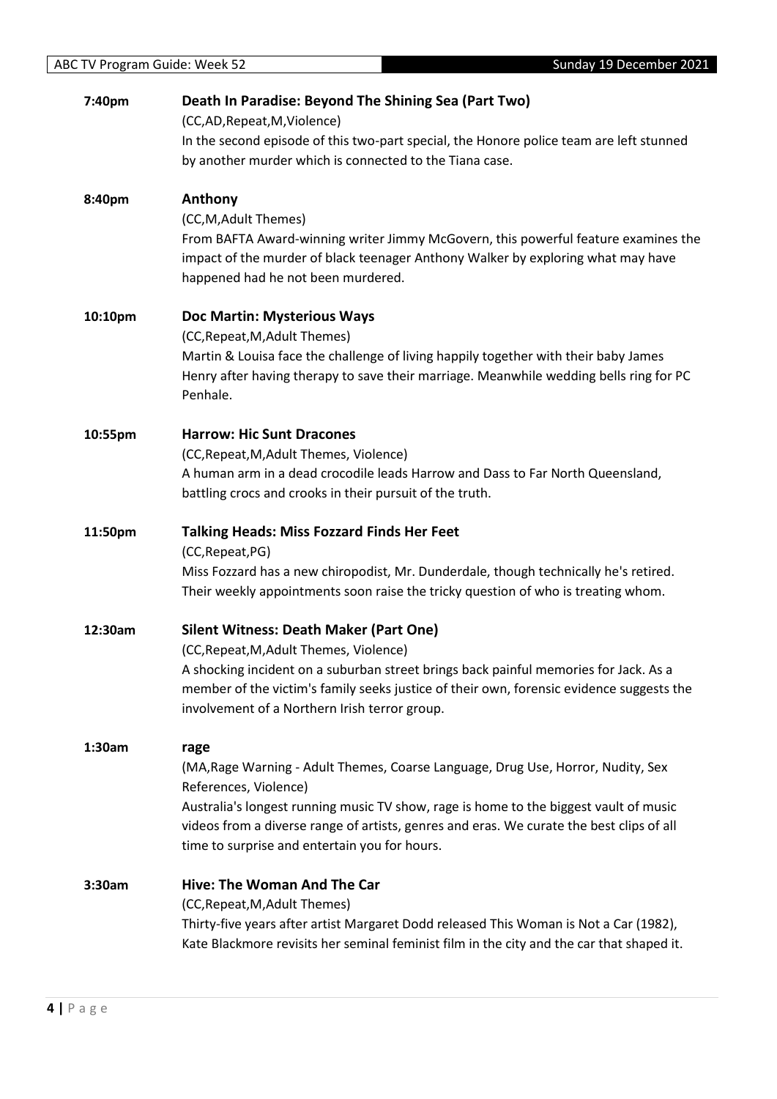| 7:40pm  | Death In Paradise: Beyond The Shining Sea (Part Two)                                      |
|---------|-------------------------------------------------------------------------------------------|
|         | (CC,AD,Repeat,M,Violence)                                                                 |
|         | In the second episode of this two-part special, the Honore police team are left stunned   |
|         | by another murder which is connected to the Tiana case.                                   |
| 8:40pm  | Anthony                                                                                   |
|         | (CC, M, Adult Themes)                                                                     |
|         | From BAFTA Award-winning writer Jimmy McGovern, this powerful feature examines the        |
|         | impact of the murder of black teenager Anthony Walker by exploring what may have          |
|         | happened had he not been murdered.                                                        |
| 10:10pm | Doc Martin: Mysterious Ways                                                               |
|         | (CC, Repeat, M, Adult Themes)                                                             |
|         | Martin & Louisa face the challenge of living happily together with their baby James       |
|         | Henry after having therapy to save their marriage. Meanwhile wedding bells ring for PC    |
|         | Penhale.                                                                                  |
| 10:55pm | <b>Harrow: Hic Sunt Dracones</b>                                                          |
|         | (CC, Repeat, M, Adult Themes, Violence)                                                   |
|         | A human arm in a dead crocodile leads Harrow and Dass to Far North Queensland,            |
|         | battling crocs and crooks in their pursuit of the truth.                                  |
| 11:50pm | <b>Talking Heads: Miss Fozzard Finds Her Feet</b>                                         |
|         | (CC, Repeat, PG)                                                                          |
|         | Miss Fozzard has a new chiropodist, Mr. Dunderdale, though technically he's retired.      |
|         | Their weekly appointments soon raise the tricky question of who is treating whom.         |
| 12:30am | <b>Silent Witness: Death Maker (Part One)</b>                                             |
|         | (CC, Repeat, M, Adult Themes, Violence)                                                   |
|         | A shocking incident on a suburban street brings back painful memories for Jack. As a      |
|         | member of the victim's family seeks justice of their own, forensic evidence suggests the  |
|         | involvement of a Northern Irish terror group.                                             |
| 1:30am  | rage                                                                                      |
|         | (MA, Rage Warning - Adult Themes, Coarse Language, Drug Use, Horror, Nudity, Sex          |
|         | References, Violence)                                                                     |
|         | Australia's longest running music TV show, rage is home to the biggest vault of music     |
|         | videos from a diverse range of artists, genres and eras. We curate the best clips of all  |
|         | time to surprise and entertain you for hours.                                             |
| 3:30am  | Hive: The Woman And The Car                                                               |
|         | (CC, Repeat, M, Adult Themes)                                                             |
|         | Thirty-five years after artist Margaret Dodd released This Woman is Not a Car (1982),     |
|         | Kate Blackmore revisits her seminal feminist film in the city and the car that shaped it. |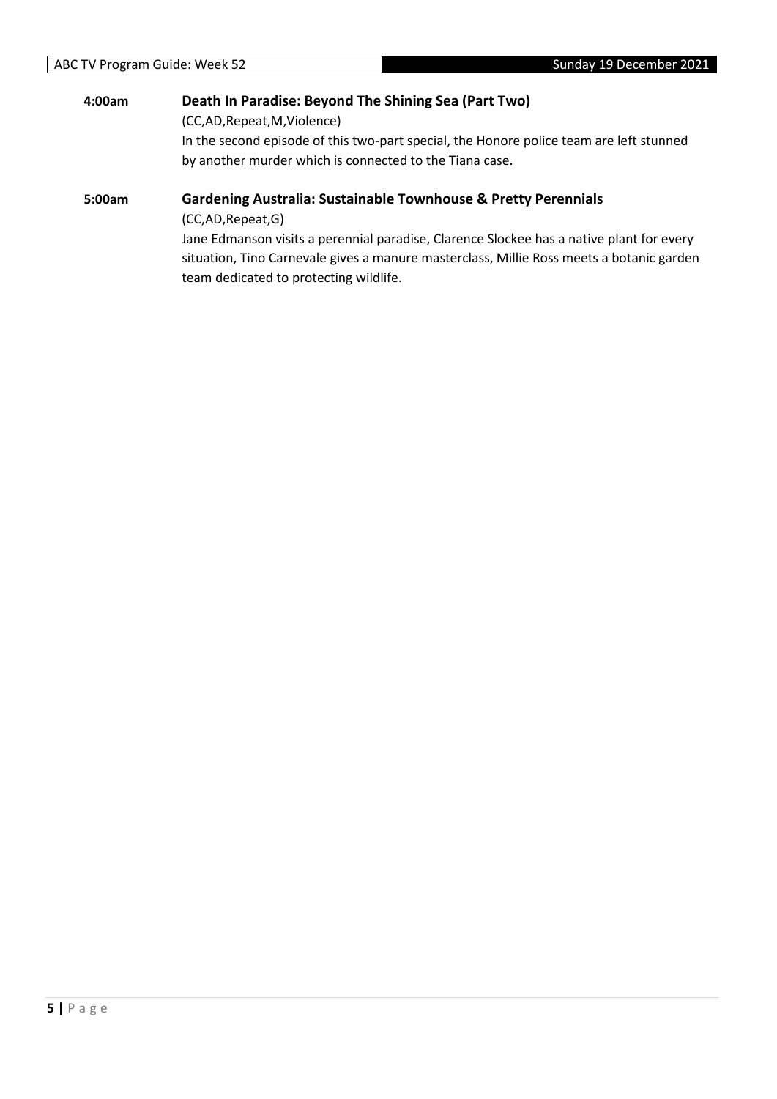# **4:00am Death In Paradise: Beyond The Shining Sea (Part Two)** (CC,AD,Repeat,M,Violence) In the second episode of this two-part special, the Honore police team are left stunned by another murder which is connected to the Tiana case.

#### **5:00am Gardening Australia: Sustainable Townhouse & Pretty Perennials**

(CC,AD,Repeat,G)

Jane Edmanson visits a perennial paradise, Clarence Slockee has a native plant for every situation, Tino Carnevale gives a manure masterclass, Millie Ross meets a botanic garden team dedicated to protecting wildlife.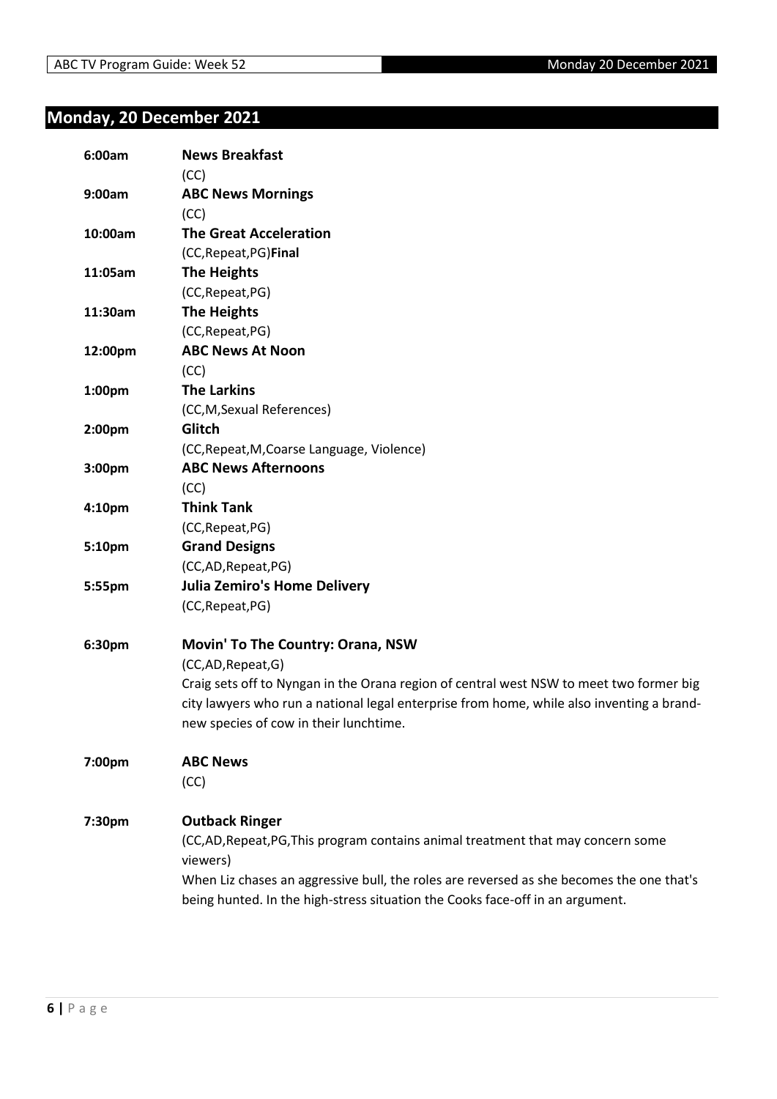## <span id="page-5-0"></span>**Monday, 20 December 2021**

| 6:00am             | <b>News Breakfast</b>                                                                        |
|--------------------|----------------------------------------------------------------------------------------------|
|                    | (CC)                                                                                         |
| 9:00am             | <b>ABC News Mornings</b>                                                                     |
|                    | (CC)                                                                                         |
| 10:00am            | <b>The Great Acceleration</b>                                                                |
|                    | (CC, Repeat, PG) Final                                                                       |
| 11:05am            | <b>The Heights</b>                                                                           |
|                    | (CC, Repeat, PG)                                                                             |
| 11:30am            | <b>The Heights</b>                                                                           |
|                    | (CC, Repeat, PG)                                                                             |
| 12:00pm            | <b>ABC News At Noon</b>                                                                      |
|                    | (CC)                                                                                         |
| 1:00 <sub>pm</sub> | <b>The Larkins</b>                                                                           |
|                    | (CC,M,Sexual References)                                                                     |
| 2:00pm             | Glitch                                                                                       |
|                    | (CC, Repeat, M, Coarse Language, Violence)                                                   |
| 3:00pm             | <b>ABC News Afternoons</b>                                                                   |
|                    | (CC)                                                                                         |
| 4:10pm             | <b>Think Tank</b>                                                                            |
|                    | (CC, Repeat, PG)                                                                             |
| 5:10pm             | <b>Grand Designs</b>                                                                         |
|                    | (CC,AD,Repeat,PG)                                                                            |
| 5:55pm             | <b>Julia Zemiro's Home Delivery</b>                                                          |
|                    | (CC, Repeat, PG)                                                                             |
| 6:30pm             | <b>Movin' To The Country: Orana, NSW</b>                                                     |
|                    | (CC,AD, Repeat, G)                                                                           |
|                    | Craig sets off to Nyngan in the Orana region of central west NSW to meet two former big      |
|                    | city lawyers who run a national legal enterprise from home, while also inventing a brand-    |
|                    | new species of cow in their lunchtime.                                                       |
| 7:00pm             | <b>ABC News</b>                                                                              |
|                    | (CC)                                                                                         |
| 7:30pm             | <b>Outback Ringer</b>                                                                        |
|                    | (CC,AD, Repeat, PG, This program contains animal treatment that may concern some<br>viewers) |
|                    | When Liz chases an aggressive bull, the roles are reversed as she becomes the one that's     |
|                    | being hunted. In the high-stress situation the Cooks face-off in an argument.                |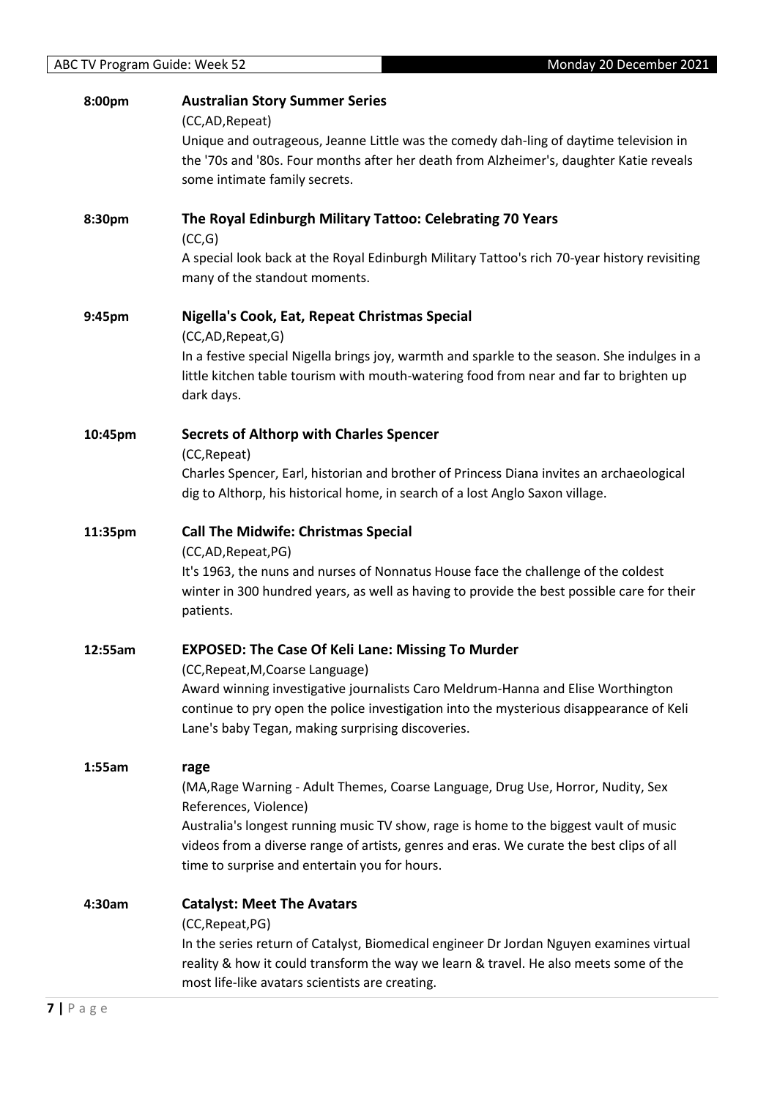| 8:00pm  | <b>Australian Story Summer Series</b>                                                        |
|---------|----------------------------------------------------------------------------------------------|
|         | (CC,AD, Repeat)                                                                              |
|         | Unique and outrageous, Jeanne Little was the comedy dah-ling of daytime television in        |
|         | the '70s and '80s. Four months after her death from Alzheimer's, daughter Katie reveals      |
|         | some intimate family secrets.                                                                |
|         |                                                                                              |
| 8:30pm  | The Royal Edinburgh Military Tattoo: Celebrating 70 Years                                    |
|         | (CC,G)                                                                                       |
|         | A special look back at the Royal Edinburgh Military Tattoo's rich 70-year history revisiting |
|         | many of the standout moments.                                                                |
|         |                                                                                              |
| 9:45pm  | Nigella's Cook, Eat, Repeat Christmas Special                                                |
|         | (CC,AD,Repeat,G)                                                                             |
|         | In a festive special Nigella brings joy, warmth and sparkle to the season. She indulges in a |
|         | little kitchen table tourism with mouth-watering food from near and far to brighten up       |
|         | dark days.                                                                                   |
|         |                                                                                              |
| 10:45pm | <b>Secrets of Althorp with Charles Spencer</b>                                               |
|         | (CC, Repeat)                                                                                 |
|         | Charles Spencer, Earl, historian and brother of Princess Diana invites an archaeological     |
|         | dig to Althorp, his historical home, in search of a lost Anglo Saxon village.                |
|         |                                                                                              |
| 11:35pm | <b>Call The Midwife: Christmas Special</b>                                                   |
|         | (CC,AD,Repeat,PG)                                                                            |
|         | It's 1963, the nuns and nurses of Nonnatus House face the challenge of the coldest           |
|         | winter in 300 hundred years, as well as having to provide the best possible care for their   |
|         | patients.                                                                                    |
|         |                                                                                              |
| 12:55am | <b>EXPOSED: The Case Of Keli Lane: Missing To Murder</b>                                     |
|         | (CC, Repeat, M, Coarse Language)                                                             |
|         | Award winning investigative journalists Caro Meldrum-Hanna and Elise Worthington             |
|         | continue to pry open the police investigation into the mysterious disappearance of Keli      |
|         | Lane's baby Tegan, making surprising discoveries.                                            |
| 1:55am  | rage                                                                                         |
|         | (MA, Rage Warning - Adult Themes, Coarse Language, Drug Use, Horror, Nudity, Sex             |
|         | References, Violence)                                                                        |
|         | Australia's longest running music TV show, rage is home to the biggest vault of music        |
|         | videos from a diverse range of artists, genres and eras. We curate the best clips of all     |
|         | time to surprise and entertain you for hours.                                                |
|         |                                                                                              |
| 4:30am  | <b>Catalyst: Meet The Avatars</b>                                                            |
|         | (CC, Repeat, PG)                                                                             |
|         | In the series return of Catalyst, Biomedical engineer Dr Jordan Nguyen examines virtual      |
|         | reality & how it could transform the way we learn & travel. He also meets some of the        |
|         | most life-like avatars scientists are creating.                                              |
|         |                                                                                              |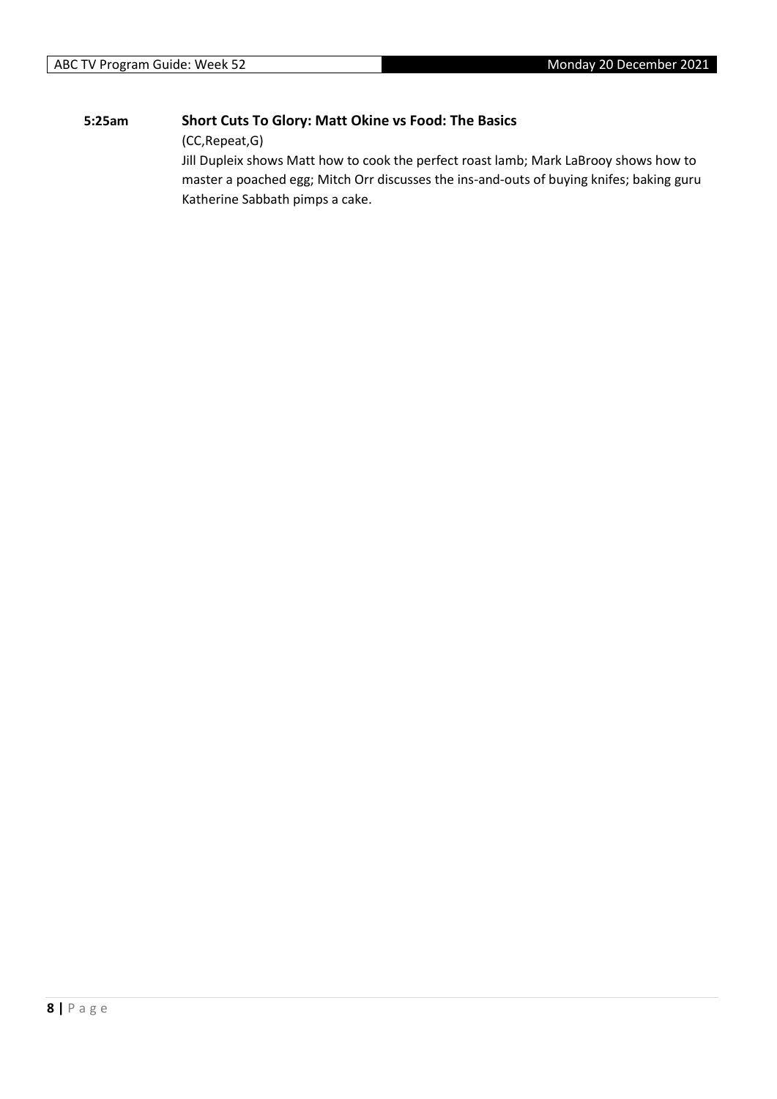#### **5:25am Short Cuts To Glory: Matt Okine vs Food: The Basics**

(CC,Repeat,G)

Jill Dupleix shows Matt how to cook the perfect roast lamb; Mark LaBrooy shows how to master a poached egg; Mitch Orr discusses the ins-and-outs of buying knifes; baking guru Katherine Sabbath pimps a cake.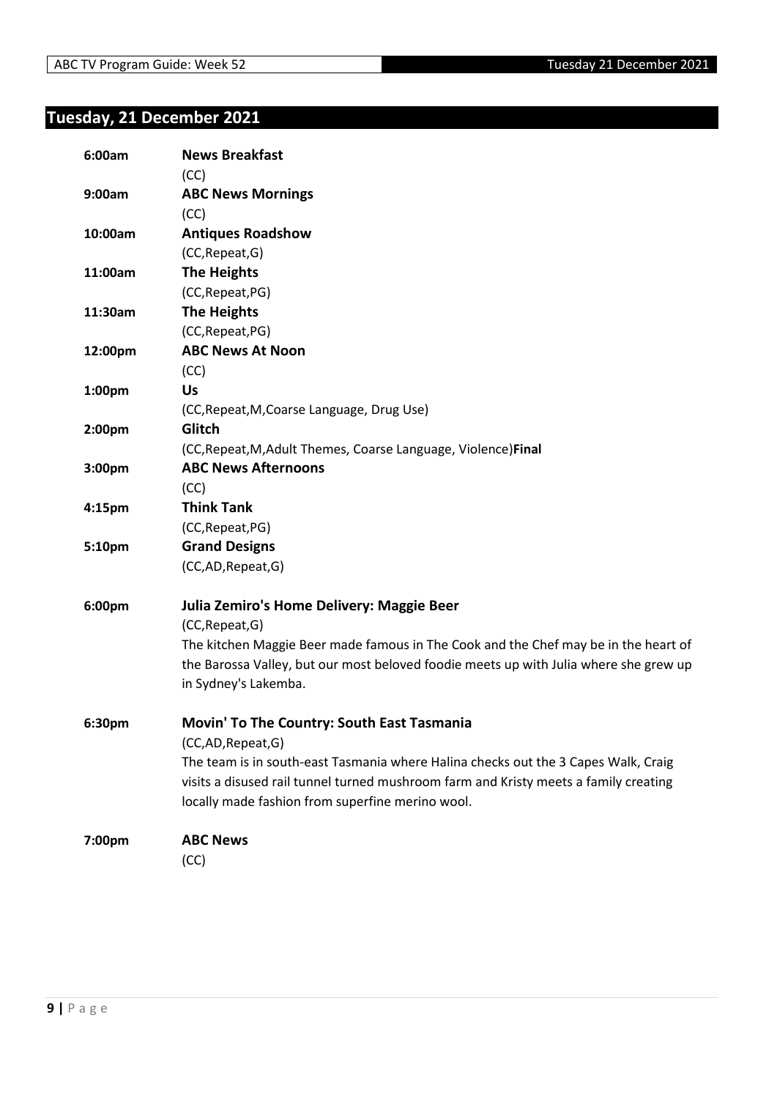## <span id="page-8-0"></span>**Tuesday, 21 December 2021**

| 6:00am  | <b>News Breakfast</b>                                                                 |
|---------|---------------------------------------------------------------------------------------|
|         | (CC)                                                                                  |
| 9:00am  | <b>ABC News Mornings</b>                                                              |
|         | (CC)                                                                                  |
| 10:00am | <b>Antiques Roadshow</b>                                                              |
|         | (CC, Repeat, G)                                                                       |
| 11:00am | <b>The Heights</b>                                                                    |
|         | (CC, Repeat, PG)                                                                      |
| 11:30am | The Heights                                                                           |
|         | (CC, Repeat, PG)                                                                      |
| 12:00pm | <b>ABC News At Noon</b>                                                               |
|         | (CC)                                                                                  |
| 1:00pm  | Us                                                                                    |
|         | (CC, Repeat, M, Coarse Language, Drug Use)                                            |
| 2:00pm  | Glitch                                                                                |
|         | (CC, Repeat, M, Adult Themes, Coarse Language, Violence) Final                        |
| 3:00pm  | <b>ABC News Afternoons</b>                                                            |
|         | (CC)                                                                                  |
| 4:15pm  | <b>Think Tank</b>                                                                     |
|         | (CC, Repeat, PG)                                                                      |
| 5:10pm  | <b>Grand Designs</b>                                                                  |
|         | (CC,AD,Repeat,G)                                                                      |
| 6:00pm  | Julia Zemiro's Home Delivery: Maggie Beer                                             |
|         | (CC, Repeat, G)                                                                       |
|         | The kitchen Maggie Beer made famous in The Cook and the Chef may be in the heart of   |
|         | the Barossa Valley, but our most beloved foodie meets up with Julia where she grew up |
|         | in Sydney's Lakemba.                                                                  |
| 6:30pm  | Movin' To The Country: South East Tasmania                                            |
|         | (CC,AD,Repeat,G)                                                                      |
|         | The team is in south-east Tasmania where Halina checks out the 3 Capes Walk, Craig    |
|         | visits a disused rail tunnel turned mushroom farm and Kristy meets a family creating  |
|         | locally made fashion from superfine merino wool.                                      |
| 7:00pm  | <b>ABC News</b>                                                                       |
|         | (CC)                                                                                  |
|         |                                                                                       |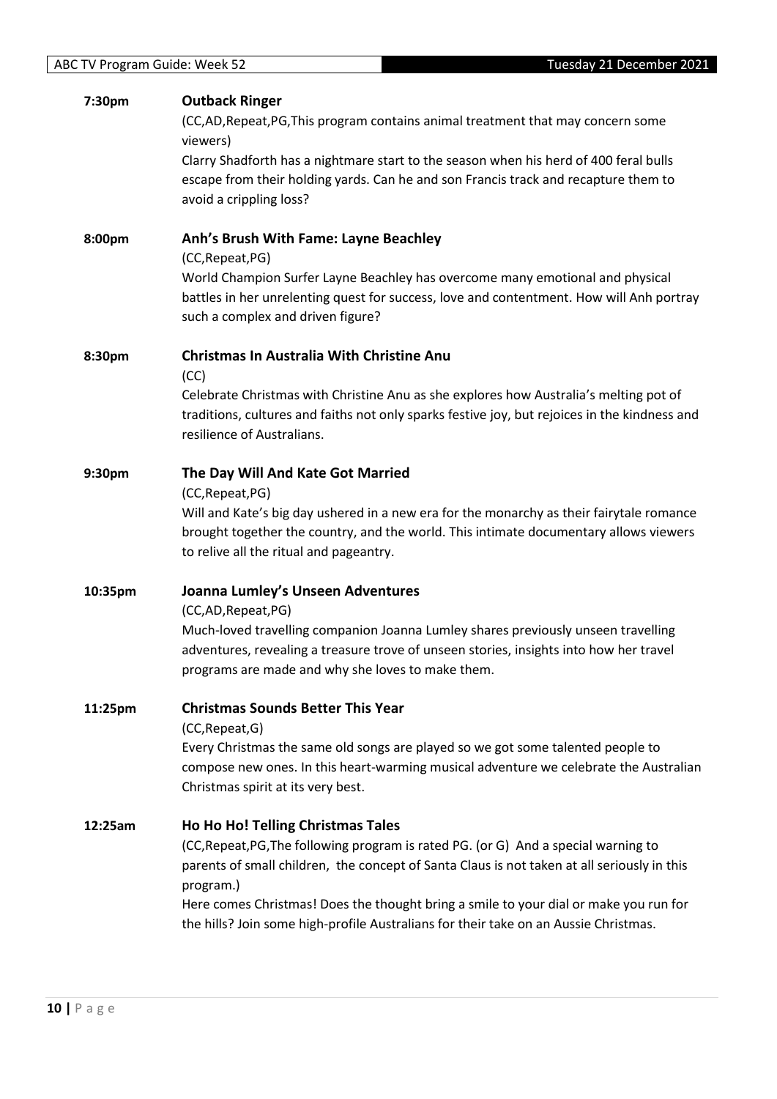| 7:30pm  | <b>Outback Ringer</b><br>(CC,AD,Repeat,PG,This program contains animal treatment that may concern some<br>viewers)<br>Clarry Shadforth has a nightmare start to the season when his herd of 400 feral bulls<br>escape from their holding yards. Can he and son Francis track and recapture them to<br>avoid a crippling loss?                                                                                         |
|---------|-----------------------------------------------------------------------------------------------------------------------------------------------------------------------------------------------------------------------------------------------------------------------------------------------------------------------------------------------------------------------------------------------------------------------|
| 8:00pm  | Anh's Brush With Fame: Layne Beachley<br>(CC, Repeat, PG)<br>World Champion Surfer Layne Beachley has overcome many emotional and physical<br>battles in her unrelenting quest for success, love and contentment. How will Anh portray<br>such a complex and driven figure?                                                                                                                                           |
| 8:30pm  | <b>Christmas In Australia With Christine Anu</b><br>(CC)<br>Celebrate Christmas with Christine Anu as she explores how Australia's melting pot of<br>traditions, cultures and faiths not only sparks festive joy, but rejoices in the kindness and<br>resilience of Australians.                                                                                                                                      |
| 9:30pm  | The Day Will And Kate Got Married<br>(CC, Repeat, PG)<br>Will and Kate's big day ushered in a new era for the monarchy as their fairytale romance<br>brought together the country, and the world. This intimate documentary allows viewers<br>to relive all the ritual and pageantry.                                                                                                                                 |
| 10:35pm | Joanna Lumley's Unseen Adventures<br>(CC,AD,Repeat,PG)<br>Much-loved travelling companion Joanna Lumley shares previously unseen travelling<br>adventures, revealing a treasure trove of unseen stories, insights into how her travel<br>programs are made and why she loves to make them.                                                                                                                            |
| 11:25pm | <b>Christmas Sounds Better This Year</b><br>(CC, Repeat, G)<br>Every Christmas the same old songs are played so we got some talented people to<br>compose new ones. In this heart-warming musical adventure we celebrate the Australian<br>Christmas spirit at its very best.                                                                                                                                         |
| 12:25am | Ho Ho Ho! Telling Christmas Tales<br>(CC, Repeat, PG, The following program is rated PG. (or G) And a special warning to<br>parents of small children, the concept of Santa Claus is not taken at all seriously in this<br>program.)<br>Here comes Christmas! Does the thought bring a smile to your dial or make you run for<br>the hills? Join some high-profile Australians for their take on an Aussie Christmas. |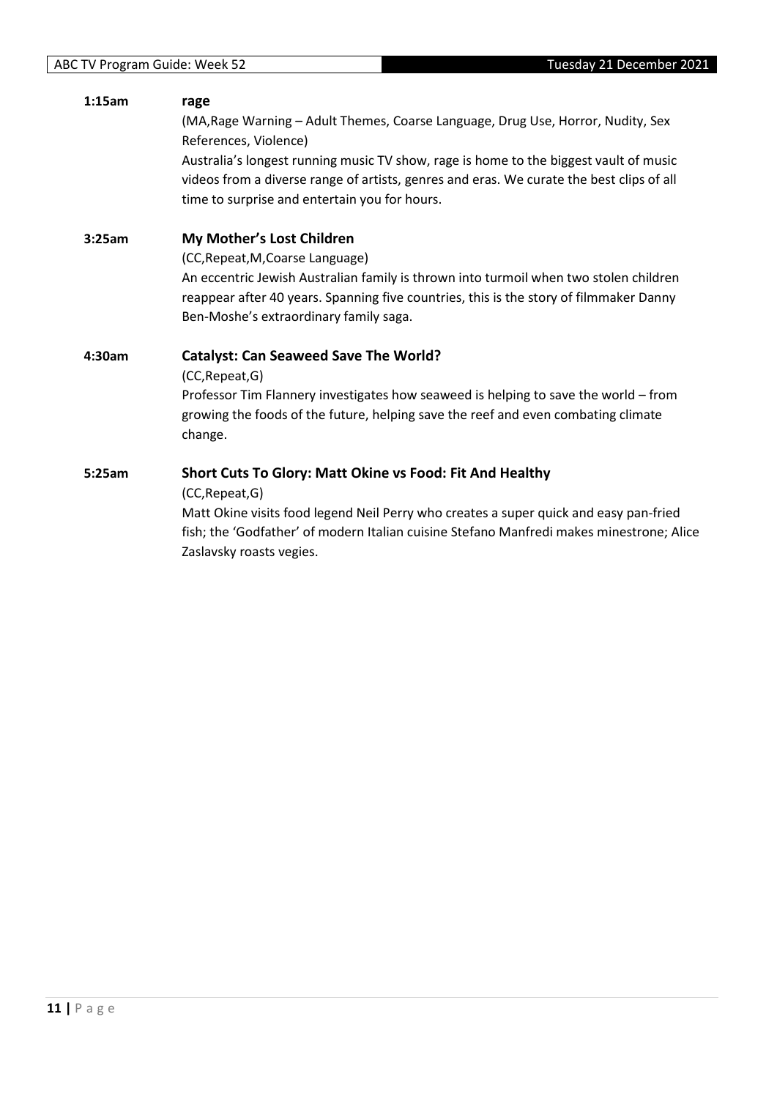#### **1:15am rage**

(MA,Rage Warning – Adult Themes, Coarse Language, Drug Use, Horror, Nudity, Sex References, Violence)

Australia's longest running music TV show, rage is home to the biggest vault of music videos from a diverse range of artists, genres and eras. We curate the best clips of all time to surprise and entertain you for hours.

**3:25am My Mother's Lost Children**

(CC,Repeat,M,Coarse Language)

An eccentric Jewish Australian family is thrown into turmoil when two stolen children reappear after 40 years. Spanning five countries, this is the story of filmmaker Danny Ben-Moshe's extraordinary family saga.

#### **4:30am Catalyst: Can Seaweed Save The World?**

(CC,Repeat,G)

Professor Tim Flannery investigates how seaweed is helping to save the world – from growing the foods of the future, helping save the reef and even combating climate change.

#### **5:25am Short Cuts To Glory: Matt Okine vs Food: Fit And Healthy**

(CC,Repeat,G)

Matt Okine visits food legend Neil Perry who creates a super quick and easy pan-fried fish; the 'Godfather' of modern Italian cuisine Stefano Manfredi makes minestrone; Alice Zaslavsky roasts vegies.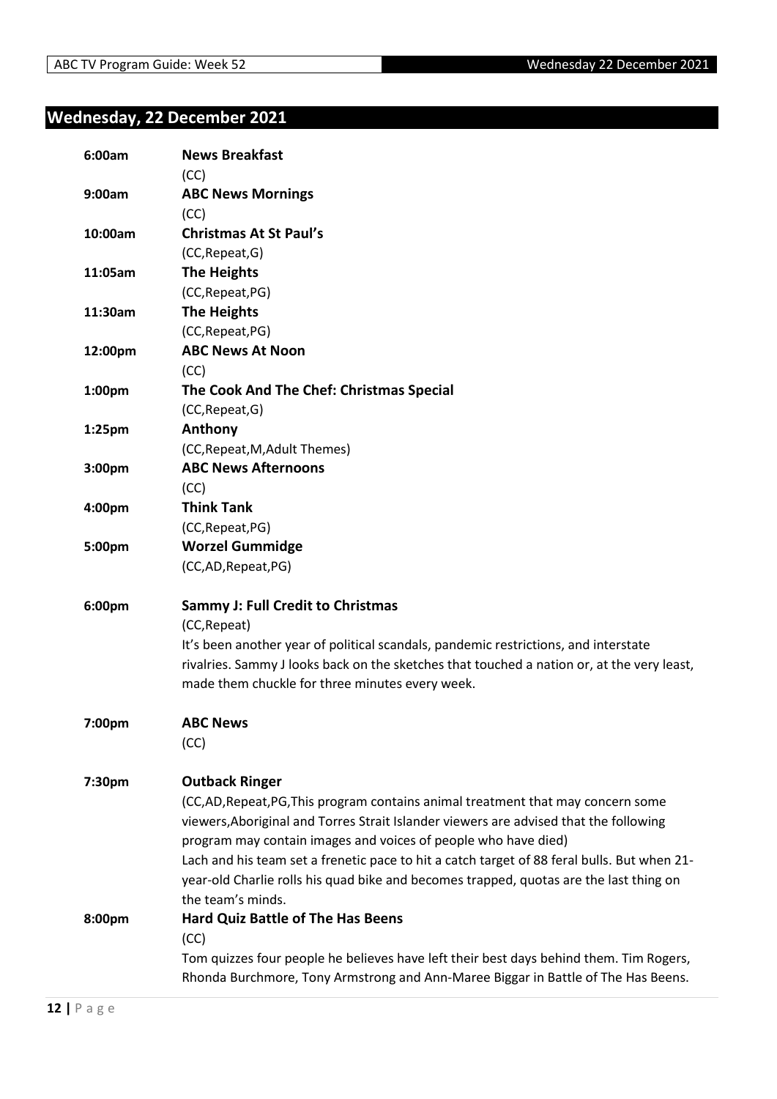## <span id="page-11-0"></span>**Wednesday, 22 December 2021**

| 6:00am  | <b>News Breakfast</b><br>(CC)                                                               |
|---------|---------------------------------------------------------------------------------------------|
| 9:00am  | <b>ABC News Mornings</b>                                                                    |
|         | (CC)                                                                                        |
| 10:00am | <b>Christmas At St Paul's</b>                                                               |
|         | (CC, Repeat, G)                                                                             |
| 11:05am | <b>The Heights</b>                                                                          |
|         | (CC, Repeat, PG)                                                                            |
| 11:30am | <b>The Heights</b>                                                                          |
|         | (CC, Repeat, PG)                                                                            |
| 12:00pm | <b>ABC News At Noon</b>                                                                     |
|         | (CC)                                                                                        |
| 1:00pm  | The Cook And The Chef: Christmas Special                                                    |
|         | (CC, Repeat, G)                                                                             |
| 1:25pm  | Anthony                                                                                     |
|         | (CC, Repeat, M, Adult Themes)                                                               |
| 3:00pm  | <b>ABC News Afternoons</b>                                                                  |
|         | (CC)                                                                                        |
| 4:00pm  | <b>Think Tank</b>                                                                           |
|         | (CC, Repeat, PG)                                                                            |
| 5:00pm  | <b>Worzel Gummidge</b>                                                                      |
|         | (CC,AD,Repeat,PG)                                                                           |
| 6:00pm  | <b>Sammy J: Full Credit to Christmas</b>                                                    |
|         | (CC, Repeat)                                                                                |
|         | It's been another year of political scandals, pandemic restrictions, and interstate         |
|         | rivalries. Sammy J looks back on the sketches that touched a nation or, at the very least,  |
|         | made them chuckle for three minutes every week.                                             |
| 7:00pm  | <b>ABC News</b>                                                                             |
|         | (CC)                                                                                        |
| 7:30pm  | <b>Outback Ringer</b>                                                                       |
|         | (CC,AD,Repeat,PG,This program contains animal treatment that may concern some               |
|         | viewers, Aboriginal and Torres Strait Islander viewers are advised that the following       |
|         | program may contain images and voices of people who have died)                              |
|         | Lach and his team set a frenetic pace to hit a catch target of 88 feral bulls. But when 21- |
|         | year-old Charlie rolls his quad bike and becomes trapped, quotas are the last thing on      |
|         | the team's minds.                                                                           |
| 8:00pm  | <b>Hard Quiz Battle of The Has Beens</b>                                                    |
|         | (CC)                                                                                        |
|         | Tom quizzes four people he believes have left their best days behind them. Tim Rogers,      |
|         | Rhonda Burchmore, Tony Armstrong and Ann-Maree Biggar in Battle of The Has Beens.           |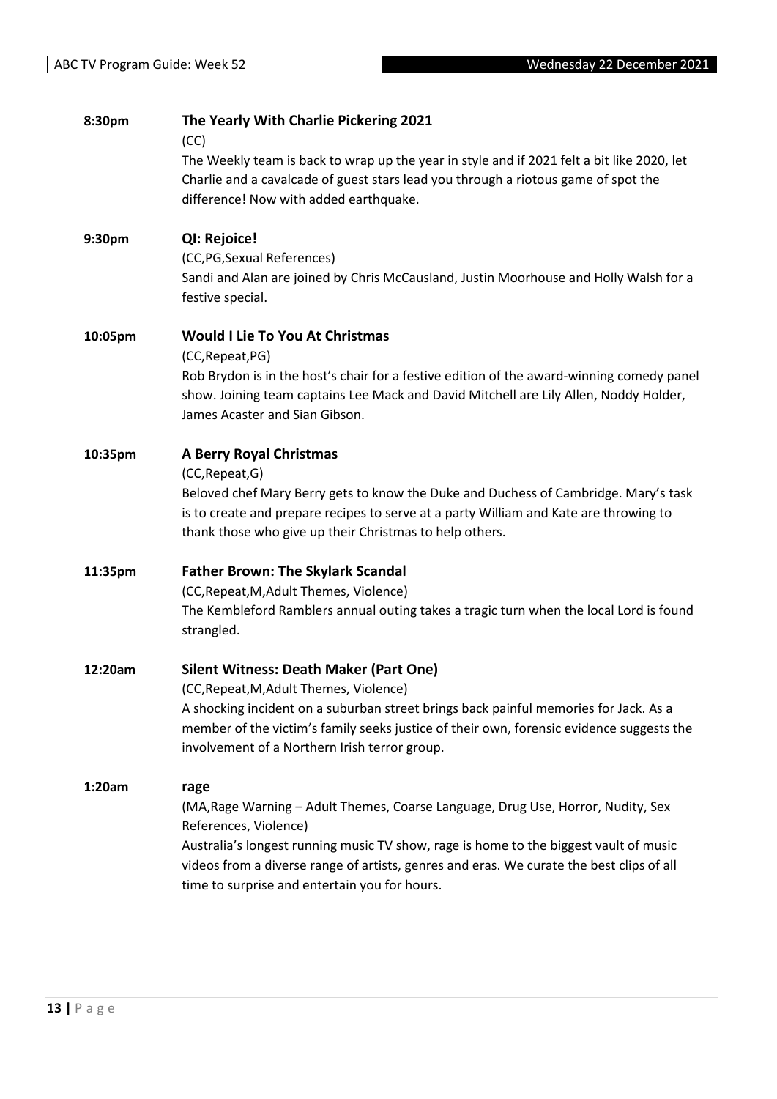| 8:30pm  | The Yearly With Charlie Pickering 2021<br>(CC)                                                                                                                                                                                                                                                                                                          |
|---------|---------------------------------------------------------------------------------------------------------------------------------------------------------------------------------------------------------------------------------------------------------------------------------------------------------------------------------------------------------|
|         | The Weekly team is back to wrap up the year in style and if 2021 felt a bit like 2020, let<br>Charlie and a cavalcade of guest stars lead you through a riotous game of spot the<br>difference! Now with added earthquake.                                                                                                                              |
| 9:30pm  | QI: Rejoice!<br>(CC, PG, Sexual References)<br>Sandi and Alan are joined by Chris McCausland, Justin Moorhouse and Holly Walsh for a<br>festive special.                                                                                                                                                                                                |
| 10:05pm | <b>Would I Lie To You At Christmas</b><br>(CC, Repeat, PG)<br>Rob Brydon is in the host's chair for a festive edition of the award-winning comedy panel<br>show. Joining team captains Lee Mack and David Mitchell are Lily Allen, Noddy Holder,<br>James Acaster and Sian Gibson.                                                                      |
| 10:35pm | <b>A Berry Royal Christmas</b><br>(CC, Repeat, G)<br>Beloved chef Mary Berry gets to know the Duke and Duchess of Cambridge. Mary's task<br>is to create and prepare recipes to serve at a party William and Kate are throwing to<br>thank those who give up their Christmas to help others.                                                            |
| 11:35pm | <b>Father Brown: The Skylark Scandal</b><br>(CC, Repeat, M, Adult Themes, Violence)<br>The Kembleford Ramblers annual outing takes a tragic turn when the local Lord is found<br>strangled.                                                                                                                                                             |
| 12:20am | <b>Silent Witness: Death Maker (Part One)</b><br>(CC, Repeat, M, Adult Themes, Violence)<br>A shocking incident on a suburban street brings back painful memories for Jack. As a<br>member of the victim's family seeks justice of their own, forensic evidence suggests the<br>involvement of a Northern Irish terror group.                           |
| 1:20am  | rage<br>(MA, Rage Warning - Adult Themes, Coarse Language, Drug Use, Horror, Nudity, Sex<br>References, Violence)<br>Australia's longest running music TV show, rage is home to the biggest vault of music<br>videos from a diverse range of artists, genres and eras. We curate the best clips of all<br>time to surprise and entertain you for hours. |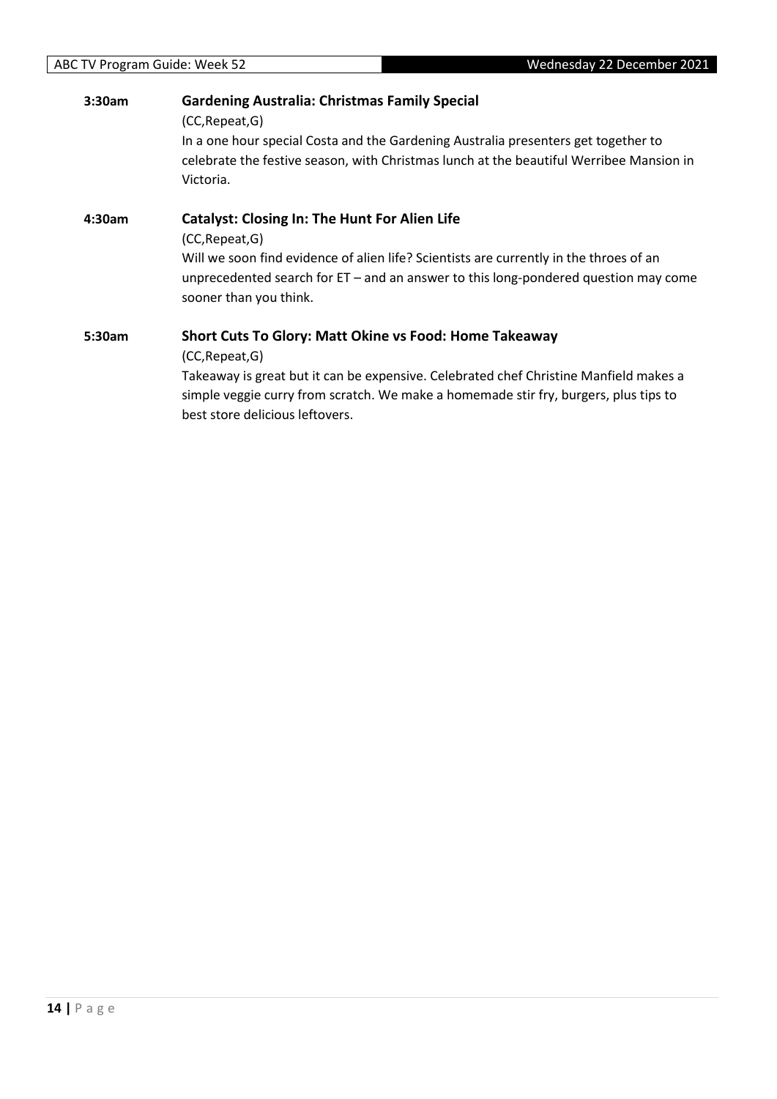| 3:30am | <b>Gardening Australia: Christmas Family Special</b><br>(CC, Repeat, G)<br>In a one hour special Costa and the Gardening Australia presenters get together to<br>celebrate the festive season, with Christmas lunch at the beautiful Werribee Mansion in<br>Victoria.                                |
|--------|------------------------------------------------------------------------------------------------------------------------------------------------------------------------------------------------------------------------------------------------------------------------------------------------------|
| 4:30am | <b>Catalyst: Closing In: The Hunt For Alien Life</b><br>(CC, Repeat, G)<br>Will we soon find evidence of alien life? Scientists are currently in the throes of an<br>unprecedented search for $ET -$ and an answer to this long-pondered question may come<br>sooner than you think.                 |
| 5:30am | <b>Short Cuts To Glory: Matt Okine vs Food: Home Takeaway</b><br>(CC, Repeat, G)<br>Takeaway is great but it can be expensive. Celebrated chef Christine Manfield makes a<br>simple veggie curry from scratch. We make a homemade stir fry, burgers, plus tips to<br>best store delicious leftovers. |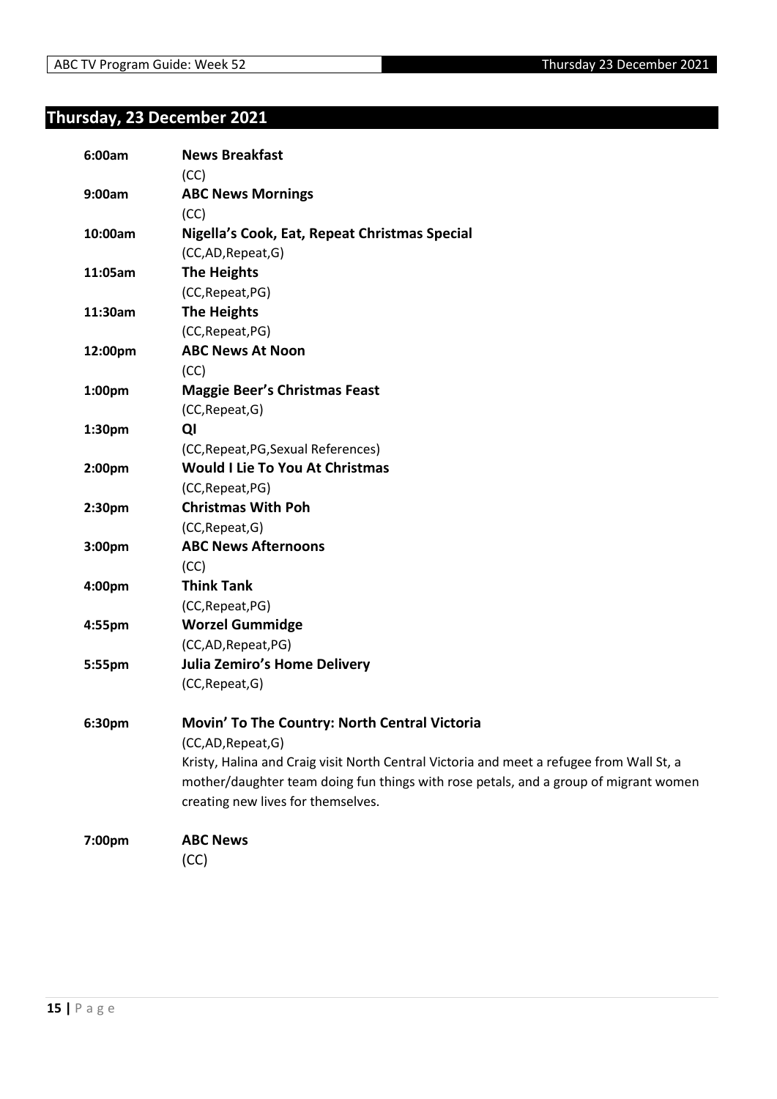## <span id="page-14-0"></span>**Thursday, 23 December 2021**

| 6:00am             | <b>News Breakfast</b>                                                                    |
|--------------------|------------------------------------------------------------------------------------------|
|                    | (CC)                                                                                     |
| 9:00am             | <b>ABC News Mornings</b>                                                                 |
|                    | (CC)                                                                                     |
| 10:00am            | Nigella's Cook, Eat, Repeat Christmas Special                                            |
|                    | (CC,AD,Repeat,G)                                                                         |
| 11:05am            | <b>The Heights</b>                                                                       |
|                    | (CC, Repeat, PG)                                                                         |
| 11:30am            | <b>The Heights</b>                                                                       |
|                    | (CC, Repeat, PG)                                                                         |
| 12:00pm            | <b>ABC News At Noon</b>                                                                  |
|                    | (CC)                                                                                     |
| 1:00pm             | <b>Maggie Beer's Christmas Feast</b>                                                     |
|                    | (CC, Repeat, G)                                                                          |
| 1:30pm             | QI                                                                                       |
|                    | (CC, Repeat, PG, Sexual References)                                                      |
| 2:00 <sub>pm</sub> | <b>Would I Lie To You At Christmas</b>                                                   |
|                    | (CC, Repeat, PG)                                                                         |
| 2:30pm             | <b>Christmas With Poh</b>                                                                |
|                    | (CC, Repeat, G)                                                                          |
| 3:00pm             | <b>ABC News Afternoons</b>                                                               |
|                    | (CC)                                                                                     |
| 4:00pm             | <b>Think Tank</b>                                                                        |
|                    | (CC, Repeat, PG)                                                                         |
| 4:55pm             | <b>Worzel Gummidge</b>                                                                   |
|                    | (CC,AD,Repeat,PG)                                                                        |
| 5:55pm             | <b>Julia Zemiro's Home Delivery</b>                                                      |
|                    | (CC, Repeat, G)                                                                          |
| 6:30pm             | Movin' To The Country: North Central Victoria                                            |
|                    | (CC,AD,Repeat,G)                                                                         |
|                    | Kristy, Halina and Craig visit North Central Victoria and meet a refugee from Wall St, a |
|                    | mother/daughter team doing fun things with rose petals, and a group of migrant women     |
|                    | creating new lives for themselves.                                                       |
| 7:00pm             | <b>ABC News</b>                                                                          |
|                    | (CC)                                                                                     |
|                    |                                                                                          |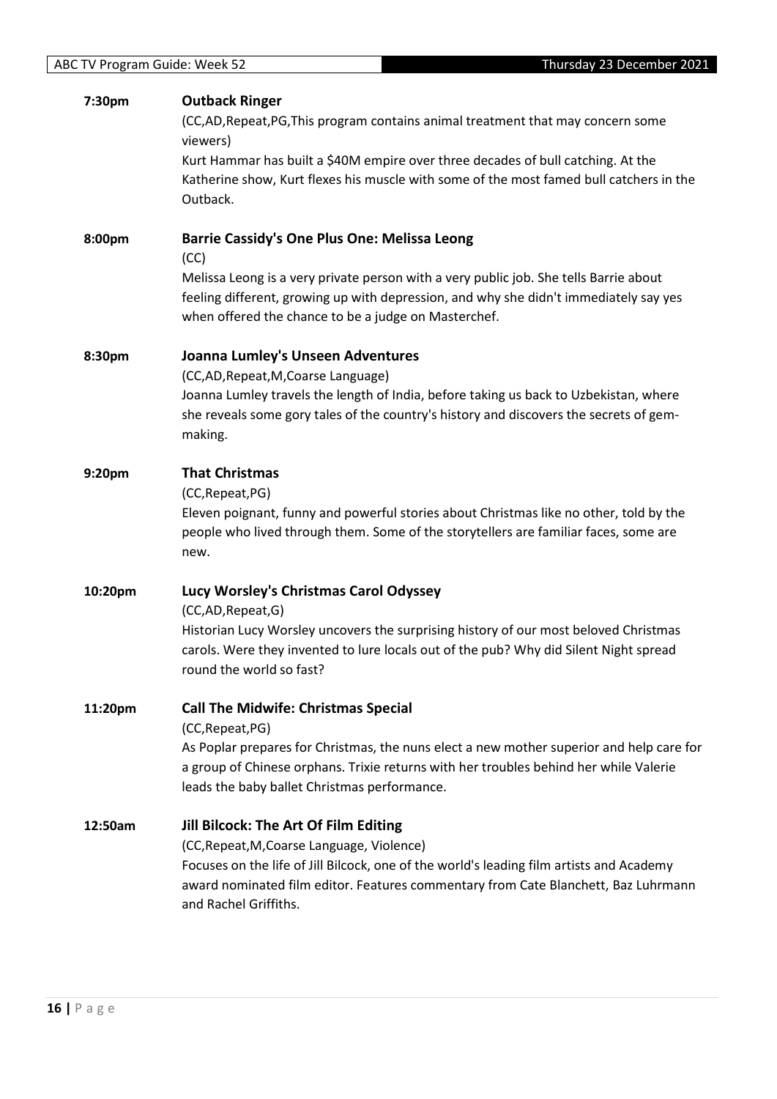| 7:30pm  | <b>Outback Ringer</b><br>(CC,AD, Repeat, PG, This program contains animal treatment that may concern some<br>viewers)<br>Kurt Hammar has built a \$40M empire over three decades of bull catching. At the<br>Katherine show, Kurt flexes his muscle with some of the most famed bull catchers in the<br>Outback. |
|---------|------------------------------------------------------------------------------------------------------------------------------------------------------------------------------------------------------------------------------------------------------------------------------------------------------------------|
| 8:00pm  | <b>Barrie Cassidy's One Plus One: Melissa Leong</b><br>(CC)<br>Melissa Leong is a very private person with a very public job. She tells Barrie about<br>feeling different, growing up with depression, and why she didn't immediately say yes<br>when offered the chance to be a judge on Masterchef.            |
| 8:30pm  | Joanna Lumley's Unseen Adventures<br>(CC,AD, Repeat, M, Coarse Language)<br>Joanna Lumley travels the length of India, before taking us back to Uzbekistan, where<br>she reveals some gory tales of the country's history and discovers the secrets of gem-<br>making.                                           |
| 9:20pm  | <b>That Christmas</b><br>(CC, Repeat, PG)<br>Eleven poignant, funny and powerful stories about Christmas like no other, told by the<br>people who lived through them. Some of the storytellers are familiar faces, some are<br>new.                                                                              |
| 10:20pm | Lucy Worsley's Christmas Carol Odyssey<br>(CC,AD, Repeat, G)<br>Historian Lucy Worsley uncovers the surprising history of our most beloved Christmas<br>carols. Were they invented to lure locals out of the pub? Why did Silent Night spread<br>round the world so fast?                                        |
| 11:20pm | <b>Call The Midwife: Christmas Special</b><br>(CC, Repeat, PG)<br>As Poplar prepares for Christmas, the nuns elect a new mother superior and help care for<br>a group of Chinese orphans. Trixie returns with her troubles behind her while Valerie<br>leads the baby ballet Christmas performance.              |
| 12:50am | Jill Bilcock: The Art Of Film Editing<br>(CC, Repeat, M, Coarse Language, Violence)<br>Focuses on the life of Jill Bilcock, one of the world's leading film artists and Academy<br>award nominated film editor. Features commentary from Cate Blanchett, Baz Luhrmann<br>and Rachel Griffiths.                   |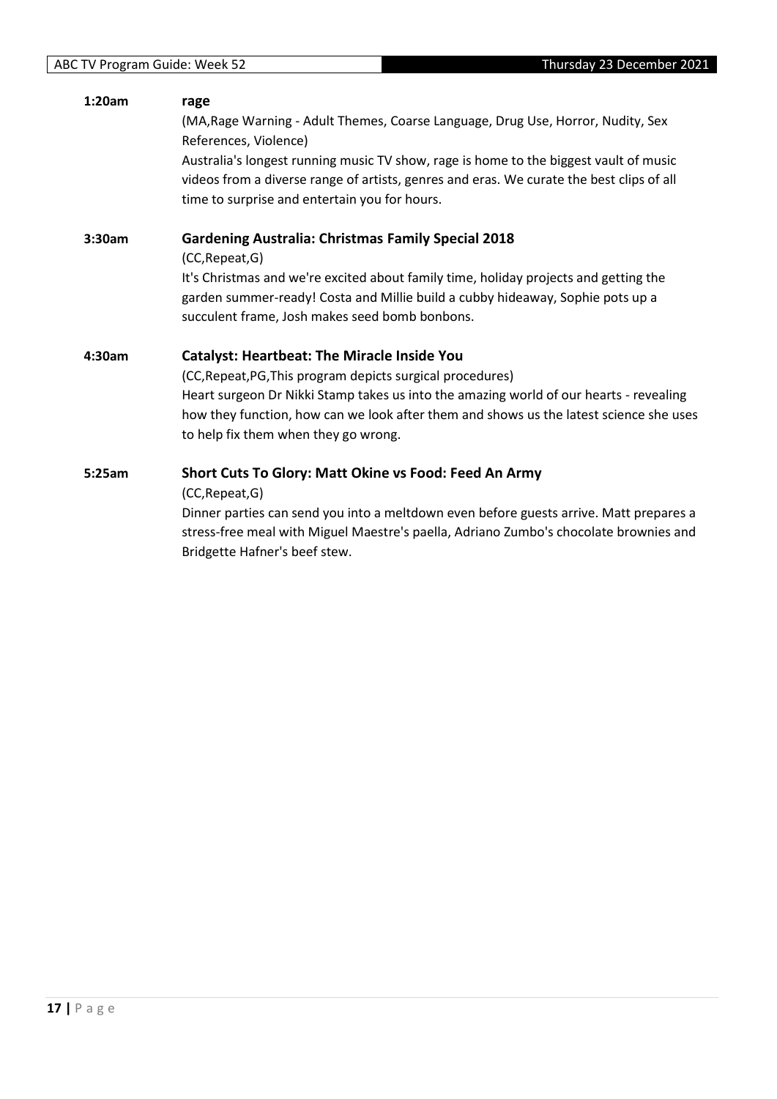| 1:20am | rage<br>(MA, Rage Warning - Adult Themes, Coarse Language, Drug Use, Horror, Nudity, Sex |
|--------|------------------------------------------------------------------------------------------|
|        | References, Violence)                                                                    |
|        | Australia's longest running music TV show, rage is home to the biggest vault of music    |
|        | videos from a diverse range of artists, genres and eras. We curate the best clips of all |
|        | time to surprise and entertain you for hours.                                            |
| 3:30am | <b>Gardening Australia: Christmas Family Special 2018</b>                                |
|        | (CC, Repeat, G)                                                                          |
|        | It's Christmas and we're excited about family time, holiday projects and getting the     |
|        | garden summer-ready! Costa and Millie build a cubby hideaway, Sophie pots up a           |
|        | succulent frame, Josh makes seed bomb bonbons.                                           |
| 4:30am | <b>Catalyst: Heartbeat: The Miracle Inside You</b>                                       |
|        | (CC, Repeat, PG, This program depicts surgical procedures)                               |
|        | Heart surgeon Dr Nikki Stamp takes us into the amazing world of our hearts - revealing   |
|        | how they function, how can we look after them and shows us the latest science she uses   |
|        | to help fix them when they go wrong.                                                     |
| 5:25am | Short Cuts To Glory: Matt Okine vs Food: Feed An Army                                    |
|        | (CC, Repeat, G)                                                                          |
|        | Dinner parties can send you into a meltdown even before guests arrive. Matt prepares a   |
|        | stress-free meal with Miguel Maestre's paella, Adriano Zumbo's chocolate brownies and    |
|        | Bridgette Hafner's beef stew.                                                            |
|        |                                                                                          |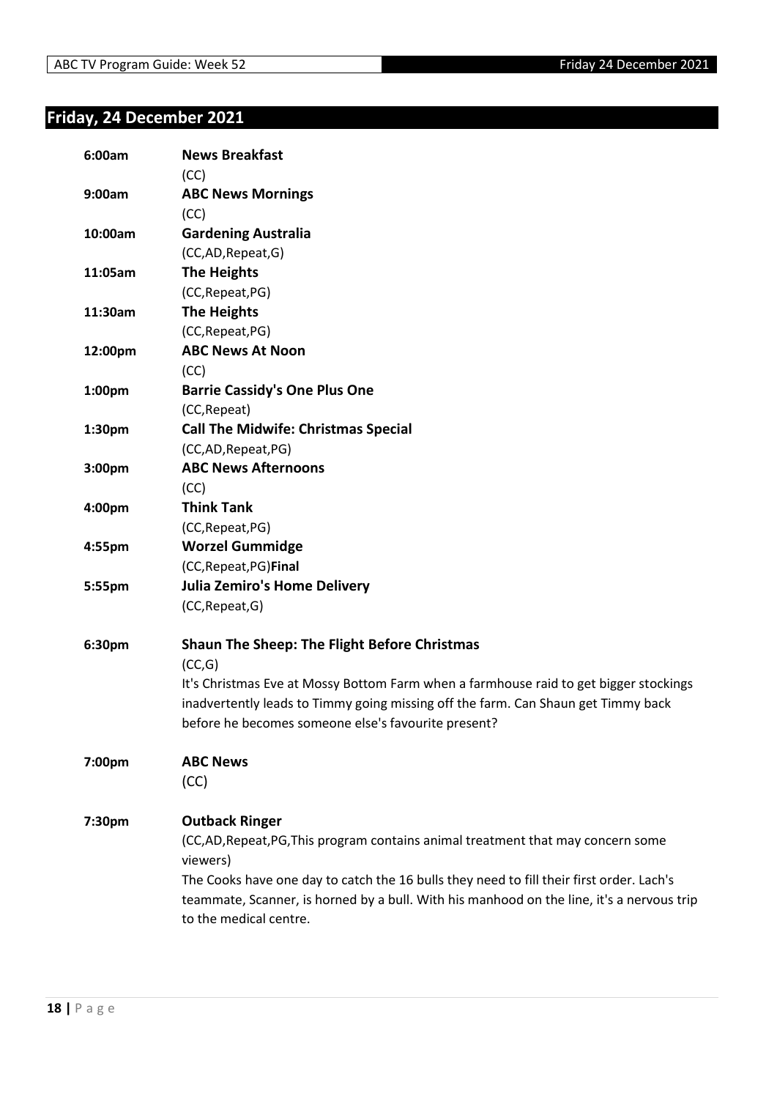## <span id="page-17-0"></span>**Friday, 24 December 2021**

| 6:00am             | <b>News Breakfast</b><br>(CC)                                                             |
|--------------------|-------------------------------------------------------------------------------------------|
| 9:00am             | <b>ABC News Mornings</b>                                                                  |
|                    | (CC)                                                                                      |
| 10:00am            | <b>Gardening Australia</b>                                                                |
|                    | (CC,AD,Repeat,G)                                                                          |
| 11:05am            | <b>The Heights</b>                                                                        |
|                    | (CC, Repeat, PG)                                                                          |
| 11:30am            | <b>The Heights</b>                                                                        |
|                    | (CC, Repeat, PG)                                                                          |
| 12:00pm            | <b>ABC News At Noon</b>                                                                   |
|                    | (CC)                                                                                      |
| 1:00pm             | <b>Barrie Cassidy's One Plus One</b>                                                      |
|                    | (CC, Repeat)                                                                              |
| 1:30pm             | <b>Call The Midwife: Christmas Special</b>                                                |
|                    | (CC,AD, Repeat, PG)                                                                       |
| 3:00 <sub>pm</sub> | <b>ABC News Afternoons</b>                                                                |
|                    | (CC)                                                                                      |
| 4:00pm             | <b>Think Tank</b>                                                                         |
|                    | (CC, Repeat, PG)                                                                          |
| 4:55pm             | <b>Worzel Gummidge</b>                                                                    |
|                    | (CC, Repeat, PG) Final                                                                    |
| 5:55pm             | <b>Julia Zemiro's Home Delivery</b>                                                       |
|                    | (CC, Repeat, G)                                                                           |
| 6:30pm             | <b>Shaun The Sheep: The Flight Before Christmas</b>                                       |
|                    | (CC,G)                                                                                    |
|                    | It's Christmas Eve at Mossy Bottom Farm when a farmhouse raid to get bigger stockings     |
|                    | inadvertently leads to Timmy going missing off the farm. Can Shaun get Timmy back         |
|                    | before he becomes someone else's favourite present?                                       |
| 7:00pm             | <b>ABC News</b>                                                                           |
|                    | (CC)                                                                                      |
| 7:30pm             | <b>Outback Ringer</b>                                                                     |
|                    | (CC,AD, Repeat, PG, This program contains animal treatment that may concern some          |
|                    | viewers)                                                                                  |
|                    | The Cooks have one day to catch the 16 bulls they need to fill their first order. Lach's  |
|                    | teammate, Scanner, is horned by a bull. With his manhood on the line, it's a nervous trip |
|                    | to the medical centre.                                                                    |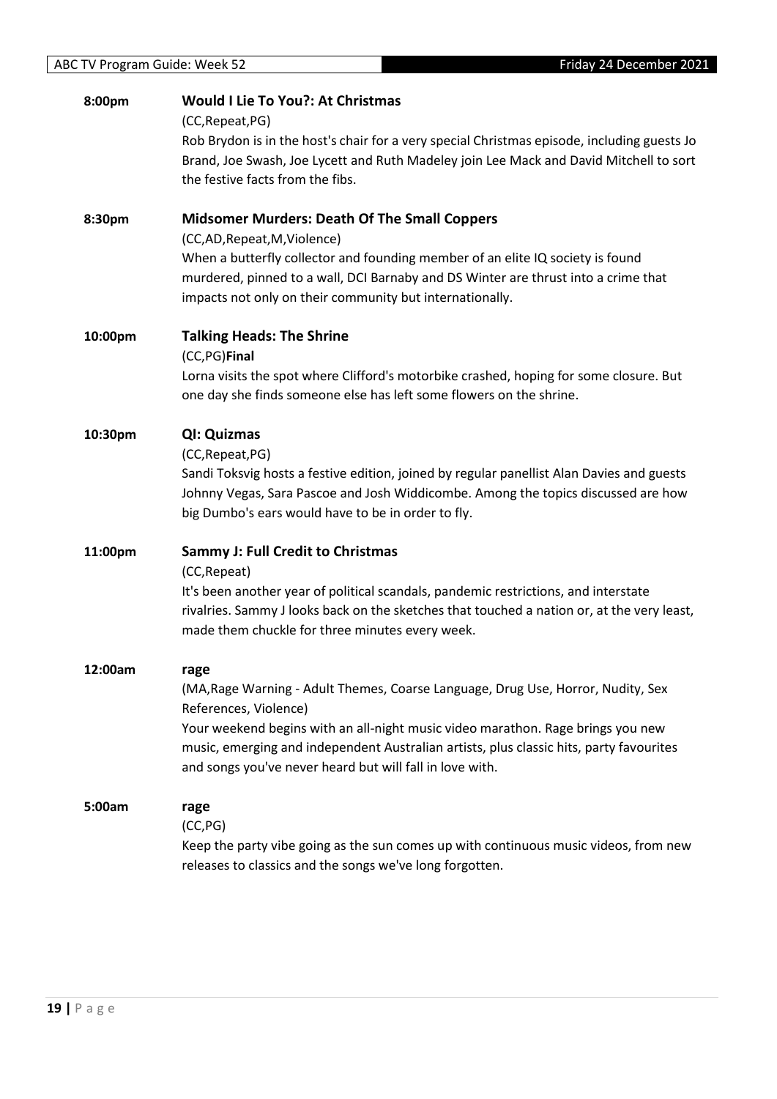| 8:00pm  | <b>Would I Lie To You?: At Christmas</b><br>(CC, Repeat, PG)<br>Rob Brydon is in the host's chair for a very special Christmas episode, including guests Jo<br>Brand, Joe Swash, Joe Lycett and Ruth Madeley join Lee Mack and David Mitchell to sort<br>the festive facts from the fibs.                                                                   |
|---------|-------------------------------------------------------------------------------------------------------------------------------------------------------------------------------------------------------------------------------------------------------------------------------------------------------------------------------------------------------------|
| 8:30pm  | <b>Midsomer Murders: Death Of The Small Coppers</b><br>(CC,AD,Repeat,M,Violence)<br>When a butterfly collector and founding member of an elite IQ society is found<br>murdered, pinned to a wall, DCI Barnaby and DS Winter are thrust into a crime that<br>impacts not only on their community but internationally.                                        |
| 10:00pm | <b>Talking Heads: The Shrine</b><br>(CC,PG)Final<br>Lorna visits the spot where Clifford's motorbike crashed, hoping for some closure. But<br>one day she finds someone else has left some flowers on the shrine.                                                                                                                                           |
| 10:30pm | QI: Quizmas<br>(CC, Repeat, PG)<br>Sandi Toksvig hosts a festive edition, joined by regular panellist Alan Davies and guests<br>Johnny Vegas, Sara Pascoe and Josh Widdicombe. Among the topics discussed are how<br>big Dumbo's ears would have to be in order to fly.                                                                                     |
| 11:00pm | <b>Sammy J: Full Credit to Christmas</b><br>(CC, Repeat)<br>It's been another year of political scandals, pandemic restrictions, and interstate<br>rivalries. Sammy J looks back on the sketches that touched a nation or, at the very least,<br>made them chuckle for three minutes every week.                                                            |
| 12:00am | rage<br>(MA, Rage Warning - Adult Themes, Coarse Language, Drug Use, Horror, Nudity, Sex<br>References, Violence)<br>Your weekend begins with an all-night music video marathon. Rage brings you new<br>music, emerging and independent Australian artists, plus classic hits, party favourites<br>and songs you've never heard but will fall in love with. |
| 5:00am  | rage<br>(CC, PG)<br>Keep the party vibe going as the sun comes up with continuous music videos, from new<br>releases to classics and the songs we've long forgotten.                                                                                                                                                                                        |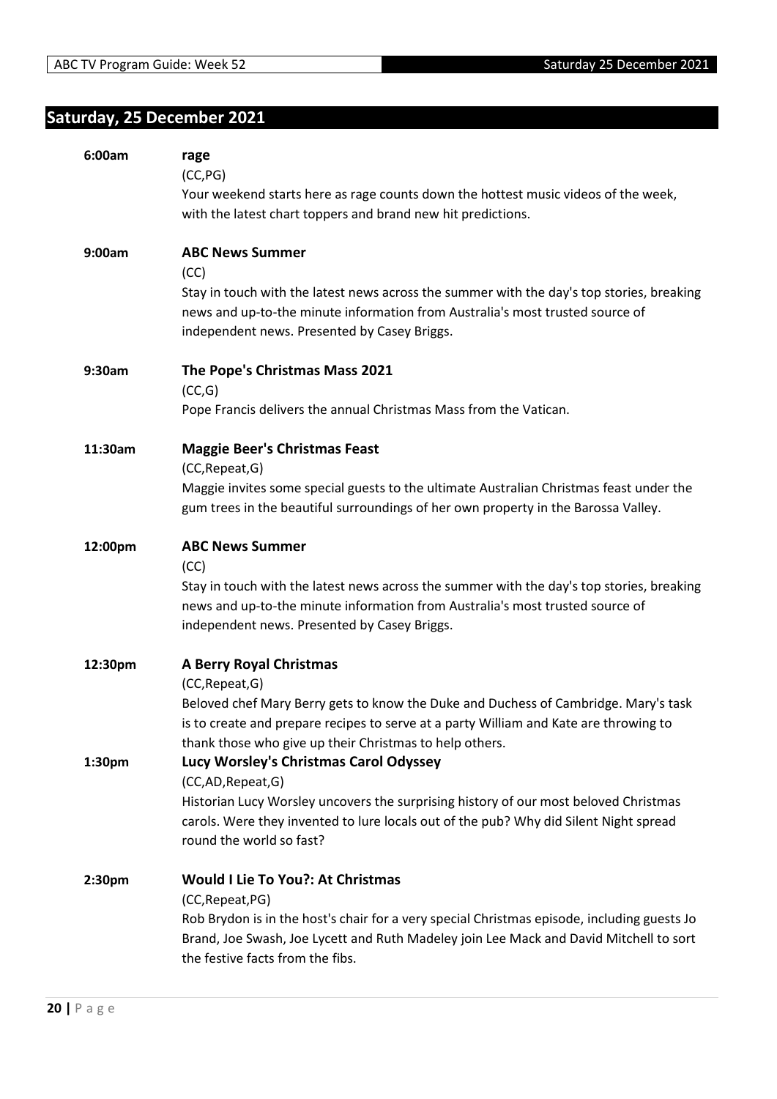## <span id="page-19-0"></span>**Saturday, 25 December 2021**

| 6:00am  | rage<br>(CC, PG)<br>Your weekend starts here as rage counts down the hottest music videos of the week,<br>with the latest chart toppers and brand new hit predictions.                                                                                                                       |
|---------|----------------------------------------------------------------------------------------------------------------------------------------------------------------------------------------------------------------------------------------------------------------------------------------------|
| 9:00am  | <b>ABC News Summer</b><br>(CC)<br>Stay in touch with the latest news across the summer with the day's top stories, breaking<br>news and up-to-the minute information from Australia's most trusted source of<br>independent news. Presented by Casey Briggs.                                 |
| 9:30am  | The Pope's Christmas Mass 2021<br>(CC,G)<br>Pope Francis delivers the annual Christmas Mass from the Vatican.                                                                                                                                                                                |
| 11:30am | <b>Maggie Beer's Christmas Feast</b><br>(CC, Repeat, G)<br>Maggie invites some special guests to the ultimate Australian Christmas feast under the<br>gum trees in the beautiful surroundings of her own property in the Barossa Valley.                                                     |
| 12:00pm | <b>ABC News Summer</b><br>(CC)<br>Stay in touch with the latest news across the summer with the day's top stories, breaking<br>news and up-to-the minute information from Australia's most trusted source of<br>independent news. Presented by Casey Briggs.                                 |
| 12:30pm | <b>A Berry Royal Christmas</b><br>(CC, Repeat, G)<br>Beloved chef Mary Berry gets to know the Duke and Duchess of Cambridge. Mary's task<br>is to create and prepare recipes to serve at a party William and Kate are throwing to<br>thank those who give up their Christmas to help others. |
| 1:30pm  | Lucy Worsley's Christmas Carol Odyssey<br>(CC,AD,Repeat,G)<br>Historian Lucy Worsley uncovers the surprising history of our most beloved Christmas<br>carols. Were they invented to lure locals out of the pub? Why did Silent Night spread<br>round the world so fast?                      |
| 2:30pm  | <b>Would I Lie To You?: At Christmas</b><br>(CC, Repeat, PG)<br>Rob Brydon is in the host's chair for a very special Christmas episode, including guests Jo<br>Brand, Joe Swash, Joe Lycett and Ruth Madeley join Lee Mack and David Mitchell to sort<br>the festive facts from the fibs.    |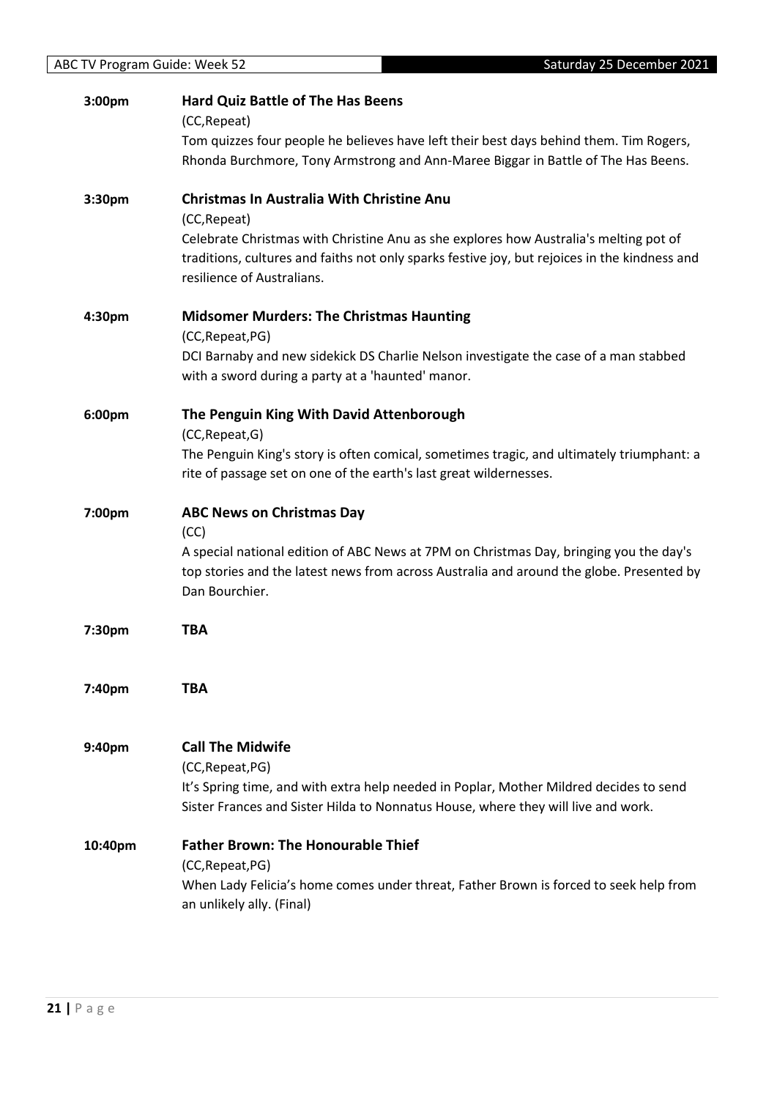|         | Saturday 25 December 2021<br><b>ABC TV Program Guide: Week 52</b>                                                                                                                                                          |  |
|---------|----------------------------------------------------------------------------------------------------------------------------------------------------------------------------------------------------------------------------|--|
| 3:00pm  | <b>Hard Quiz Battle of The Has Beens</b><br>(CC, Repeat)                                                                                                                                                                   |  |
|         | Tom quizzes four people he believes have left their best days behind them. Tim Rogers,<br>Rhonda Burchmore, Tony Armstrong and Ann-Maree Biggar in Battle of The Has Beens.                                                |  |
| 3:30pm  | <b>Christmas In Australia With Christine Anu</b><br>(CC, Repeat)                                                                                                                                                           |  |
|         | Celebrate Christmas with Christine Anu as she explores how Australia's melting pot of<br>traditions, cultures and faiths not only sparks festive joy, but rejoices in the kindness and<br>resilience of Australians.       |  |
| 4:30pm  | <b>Midsomer Murders: The Christmas Haunting</b><br>(CC, Repeat, PG)                                                                                                                                                        |  |
|         | DCI Barnaby and new sidekick DS Charlie Nelson investigate the case of a man stabbed<br>with a sword during a party at a 'haunted' manor.                                                                                  |  |
| 6:00pm  | The Penguin King With David Attenborough<br>(CC, Repeat, G)                                                                                                                                                                |  |
|         | The Penguin King's story is often comical, sometimes tragic, and ultimately triumphant: a<br>rite of passage set on one of the earth's last great wildernesses.                                                            |  |
| 7:00pm  | <b>ABC News on Christmas Day</b>                                                                                                                                                                                           |  |
|         | (CC)<br>A special national edition of ABC News at 7PM on Christmas Day, bringing you the day's<br>top stories and the latest news from across Australia and around the globe. Presented by<br>Dan Bourchier.               |  |
| 7:30pm  | <b>TBA</b>                                                                                                                                                                                                                 |  |
| 7:40pm  | <b>TBA</b>                                                                                                                                                                                                                 |  |
| 9:40pm  | <b>Call The Midwife</b><br>(CC, Repeat, PG)<br>It's Spring time, and with extra help needed in Poplar, Mother Mildred decides to send<br>Sister Frances and Sister Hilda to Nonnatus House, where they will live and work. |  |
| 10:40pm | <b>Father Brown: The Honourable Thief</b><br>(CC, Repeat, PG)                                                                                                                                                              |  |
|         | When Lady Felicia's home comes under threat, Father Brown is forced to seek help from<br>an unlikely ally. (Final)                                                                                                         |  |